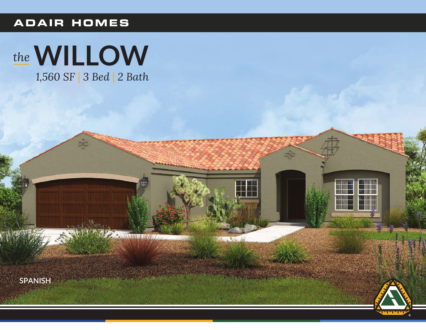## **ADAIR HOMES**

# the WILLOW

080

William William

1,560 SF | 3 Bed | 2 Bath





oge

 $\sqrt{1-\frac{1}{2}}$